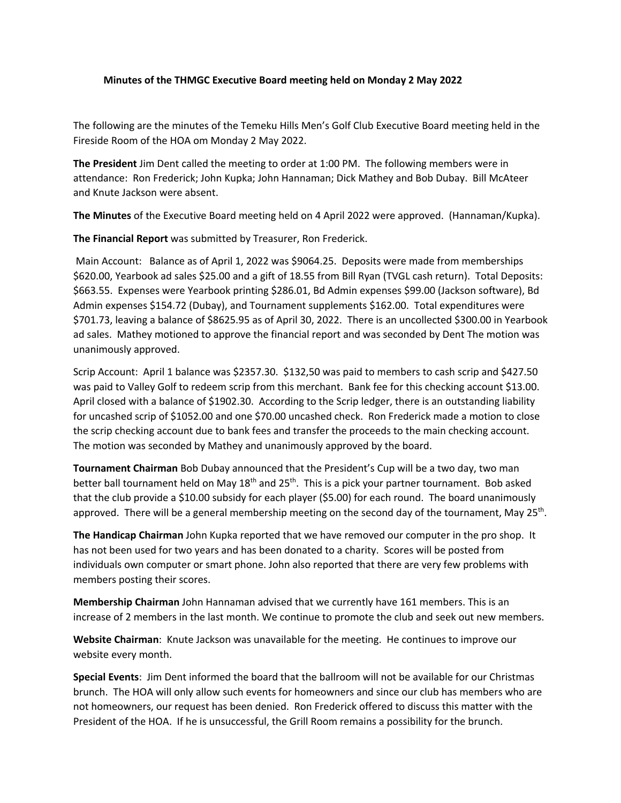## **Minutes of the THMGC Executive Board meeting held on Monday 2 May 2022**

The following are the minutes of the Temeku Hills Men's Golf Club Executive Board meeting held in the Fireside Room of the HOA om Monday 2 May 2022.

**The President** Jim Dent called the meeting to order at 1:00 PM. The following members were in attendance: Ron Frederick; John Kupka; John Hannaman; Dick Mathey and Bob Dubay. Bill McAteer and Knute Jackson were absent.

**The Minutes** of the Executive Board meeting held on 4 April 2022 were approved. (Hannaman/Kupka).

**The Financial Report** was submitted by Treasurer, Ron Frederick.

Main Account: Balance as of April 1, 2022 was \$9064.25. Deposits were made from memberships \$620.00, Yearbook ad sales \$25.00 and a gift of 18.55 from Bill Ryan (TVGL cash return). Total Deposits: \$663.55. Expenses were Yearbook printing \$286.01, Bd Admin expenses \$99.00 (Jackson software), Bd Admin expenses \$154.72 (Dubay), and Tournament supplements \$162.00. Total expenditures were \$701.73, leaving a balance of \$8625.95 as of April 30, 2022. There is an uncollected \$300.00 in Yearbook ad sales. Mathey motioned to approve the financial report and was seconded by Dent The motion was unanimously approved.

Scrip Account: April 1 balance was \$2357.30. \$132,50 was paid to members to cash scrip and \$427.50 was paid to Valley Golf to redeem scrip from this merchant. Bank fee for this checking account \$13.00. April closed with a balance of \$1902.30. According to the Scrip ledger, there is an outstanding liability for uncashed scrip of \$1052.00 and one \$70.00 uncashed check. Ron Frederick made a motion to close the scrip checking account due to bank fees and transfer the proceeds to the main checking account. The motion was seconded by Mathey and unanimously approved by the board.

**Tournament Chairman** Bob Dubay announced that the President's Cup will be a two day, two man better ball tournament held on May  $18<sup>th</sup>$  and  $25<sup>th</sup>$ . This is a pick your partner tournament. Bob asked that the club provide a \$10.00 subsidy for each player (\$5.00) for each round. The board unanimously approved. There will be a general membership meeting on the second day of the tournament, May 25<sup>th</sup>.

**The Handicap Chairman** John Kupka reported that we have removed our computer in the pro shop. It has not been used for two years and has been donated to a charity. Scores will be posted from individuals own computer or smart phone. John also reported that there are very few problems with members posting their scores.

**Membership Chairman** John Hannaman advised that we currently have 161 members. This is an increase of 2 members in the last month. We continue to promote the club and seek out new members.

**Website Chairman**: Knute Jackson was unavailable for the meeting. He continues to improve our website every month.

**Special Events**: Jim Dent informed the board that the ballroom will not be available for our Christmas brunch. The HOA will only allow such events for homeowners and since our club has members who are not homeowners, our request has been denied. Ron Frederick offered to discuss this matter with the President of the HOA. If he is unsuccessful, the Grill Room remains a possibility for the brunch.